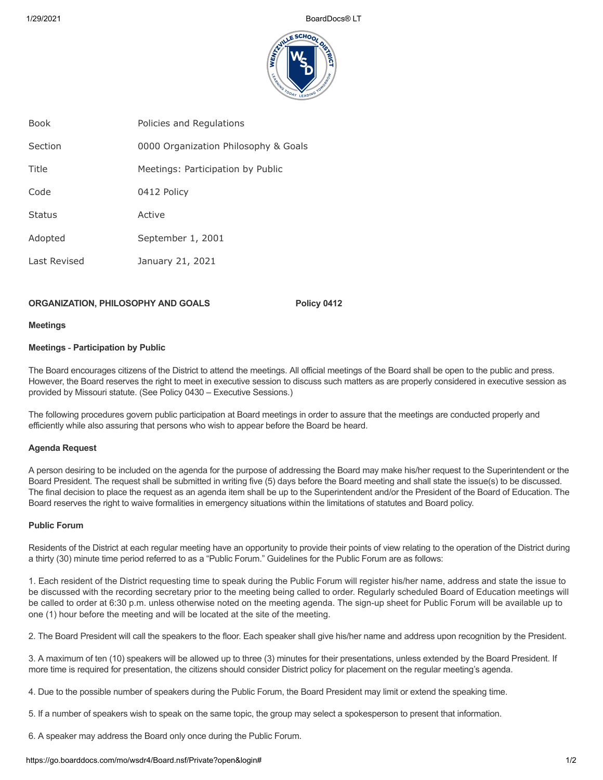

| <b>Book</b>   | Policies and Regulations             |
|---------------|--------------------------------------|
| Section       | 0000 Organization Philosophy & Goals |
| Title         | Meetings: Participation by Public    |
| Code          | 0412 Policy                          |
| <b>Status</b> | Active                               |
| Adopted       | September 1, 2001                    |
| Last Revised  | January 21, 2021                     |
|               |                                      |

# **ORGANIZATION, PHILOSOPHY AND GOALS Policy 0412**

#### **Meetings**

## **Meetings ‑ Participation by Public**

The Board encourages citizens of the District to attend the meetings. All official meetings of the Board shall be open to the public and press. However, the Board reserves the right to meet in executive session to discuss such matters as are properly considered in executive session as provided by Missouri statute. (See Policy 0430 – Executive Sessions.)

The following procedures govern public participation at Board meetings in order to assure that the meetings are conducted properly and efficiently while also assuring that persons who wish to appear before the Board be heard.

## **Agenda Request**

A person desiring to be included on the agenda for the purpose of addressing the Board may make his/her request to the Superintendent or the Board President. The request shall be submitted in writing five (5) days before the Board meeting and shall state the issue(s) to be discussed. The final decision to place the request as an agenda item shall be up to the Superintendent and/or the President of the Board of Education. The Board reserves the right to waive formalities in emergency situations within the limitations of statutes and Board policy.

# **Public Forum**

Residents of the District at each regular meeting have an opportunity to provide their points of view relating to the operation of the District during a thirty (30) minute time period referred to as a "Public Forum." Guidelines for the Public Forum are as follows:

1. Each resident of the District requesting time to speak during the Public Forum will register his/her name, address and state the issue to be discussed with the recording secretary prior to the meeting being called to order. Regularly scheduled Board of Education meetings will be called to order at 6:30 p.m. unless otherwise noted on the meeting agenda. The sign-up sheet for Public Forum will be available up to one (1) hour before the meeting and will be located at the site of the meeting.

2. The Board President will call the speakers to the floor. Each speaker shall give his/her name and address upon recognition by the President.

3. A maximum of ten (10) speakers will be allowed up to three (3) minutes for their presentations, unless extended by the Board President. If more time is required for presentation, the citizens should consider District policy for placement on the regular meeting's agenda.

- 4. Due to the possible number of speakers during the Public Forum, the Board President may limit or extend the speaking time.
- 5. If a number of speakers wish to speak on the same topic, the group may select a spokesperson to present that information.

6. A speaker may address the Board only once during the Public Forum.